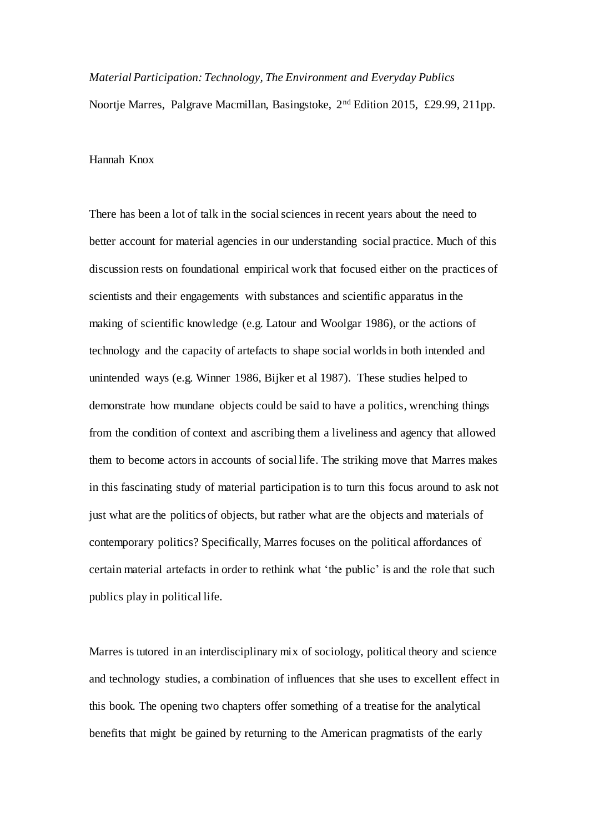*Material Participation: Technology, The Environment and Everyday Publics* Noortje Marres, Palgrave Macmillan, Basingstoke, 2nd Edition 2015, £29.99, 211pp.

## Hannah Knox

There has been a lot of talk in the social sciences in recent years about the need to better account for material agencies in our understanding social practice. Much of this discussion rests on foundational empirical work that focused either on the practices of scientists and their engagements with substances and scientific apparatus in the making of scientific knowledge (e.g. Latour and Woolgar 1986), or the actions of technology and the capacity of artefacts to shape social worlds in both intended and unintended ways (e.g. Winner 1986, Bijker et al 1987). These studies helped to demonstrate how mundane objects could be said to have a politics, wrenching things from the condition of context and ascribing them a liveliness and agency that allowed them to become actors in accounts of social life. The striking move that Marres makes in this fascinating study of material participation is to turn this focus around to ask not just what are the politics of objects, but rather what are the objects and materials of contemporary politics? Specifically, Marres focuses on the political affordances of certain material artefacts in order to rethink what 'the public' is and the role that such publics play in political life.

Marres is tutored in an interdisciplinary mix of sociology, political theory and science and technology studies, a combination of influences that she uses to excellent effect in this book. The opening two chapters offer something of a treatise for the analytical benefits that might be gained by returning to the American pragmatists of the early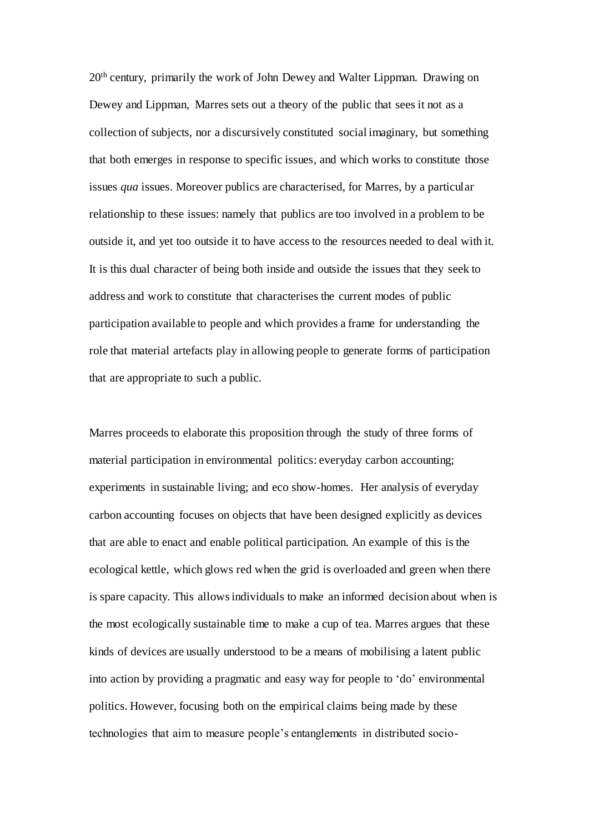20th century, primarily the work of John Dewey and Walter Lippman. Drawing on Dewey and Lippman, Marres sets out a theory of the public that sees it not as a collection of subjects, nor a discursively constituted social imaginary, but something that both emerges in response to specific issues, and which works to constitute those issues *qua* issues. Moreover publics are characterised, for Marres, by a particular relationship to these issues: namely that publics are too involved in a problem to be outside it, and yet too outside it to have access to the resources needed to deal with it. It is this dual character of being both inside and outside the issues that they seek to address and work to constitute that characterises the current modes of public participation available to people and which provides a frame for understanding the role that material artefacts play in allowing people to generate forms of participation that are appropriate to such a public.

Marres proceeds to elaborate this proposition through the study of three forms of material participation in environmental politics: everyday carbon accounting; experiments in sustainable living; and eco show-homes. Her analysis of everyday carbon accounting focuses on objects that have been designed explicitly as devices that are able to enact and enable political participation. An example of this is the ecological kettle, which glows red when the grid is overloaded and green when there is spare capacity. This allowsindividuals to make an informed decision about when is the most ecologically sustainable time to make a cup of tea. Marres argues that these kinds of devices are usually understood to be a means of mobilising a latent public into action by providing a pragmatic and easy way for people to 'do' environmental politics. However, focusing both on the empirical claims being made by these technologies that aim to measure people's entanglements in distributed socio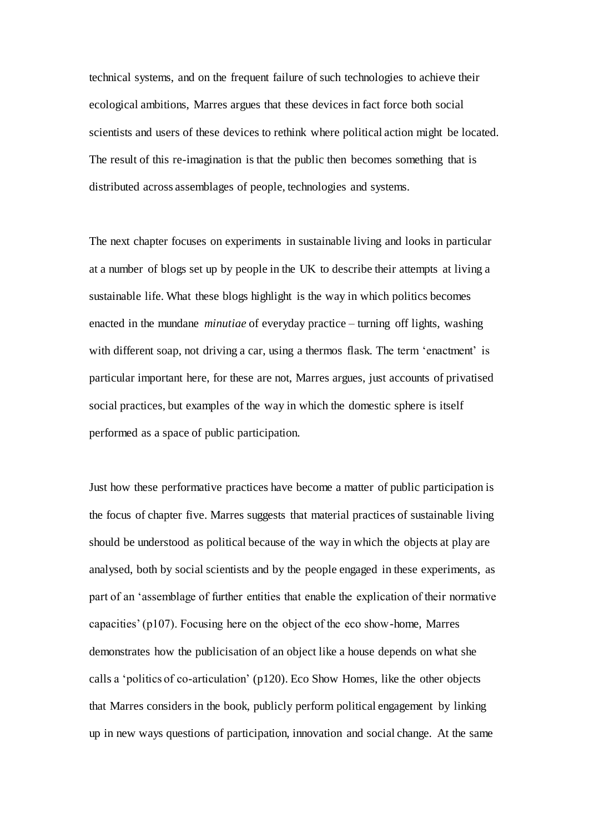technical systems, and on the frequent failure of such technologies to achieve their ecological ambitions, Marres argues that these devices in fact force both social scientists and users of these devices to rethink where political action might be located. The result of this re-imagination is that the public then becomes something that is distributed across assemblages of people, technologies and systems.

The next chapter focuses on experiments in sustainable living and looks in particular at a number of blogs set up by people in the UK to describe their attempts at living a sustainable life. What these blogs highlight is the way in which politics becomes enacted in the mundane *minutiae* of everyday practice – turning off lights, washing with different soap, not driving a car, using a thermos flask. The term 'enactment' is particular important here, for these are not, Marres argues, just accounts of privatised social practices, but examples of the way in which the domestic sphere is itself performed as a space of public participation.

Just how these performative practices have become a matter of public participation is the focus of chapter five. Marres suggests that material practices of sustainable living should be understood as political because of the way in which the objects at play are analysed, both by social scientists and by the people engaged in these experiments, as part of an 'assemblage of further entities that enable the explication of their normative capacities' (p107). Focusing here on the object of the eco show-home, Marres demonstrates how the publicisation of an object like a house depends on what she calls a 'politics of co-articulation' (p120). Eco Show Homes, like the other objects that Marres considers in the book, publicly perform political engagement by linking up in new ways questions of participation, innovation and social change. At the same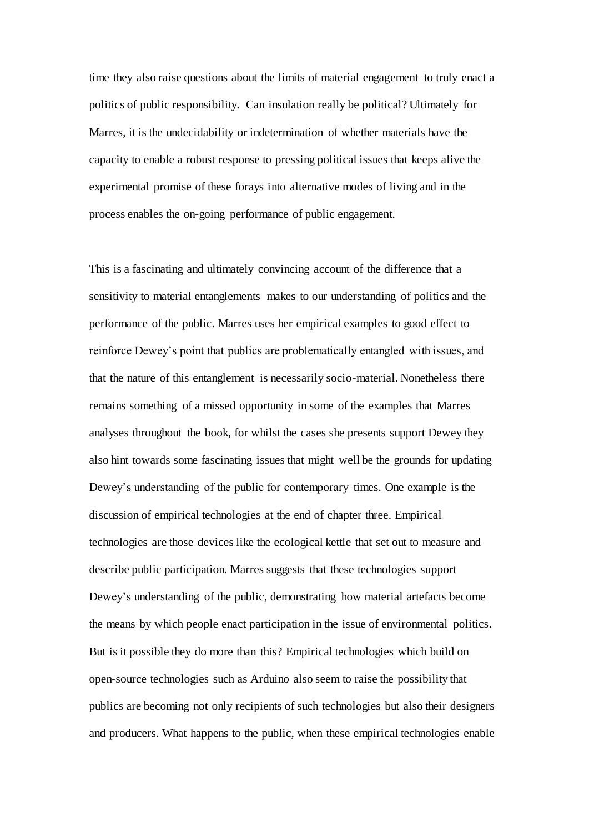time they also raise questions about the limits of material engagement to truly enact a politics of public responsibility. Can insulation really be political? Ultimately for Marres, it is the undecidability or indetermination of whether materials have the capacity to enable a robust response to pressing political issues that keeps alive the experimental promise of these forays into alternative modes of living and in the process enables the on-going performance of public engagement.

This is a fascinating and ultimately convincing account of the difference that a sensitivity to material entanglements makes to our understanding of politics and the performance of the public. Marres uses her empirical examples to good effect to reinforce Dewey's point that publics are problematically entangled with issues, and that the nature of this entanglement is necessarily socio-material. Nonetheless there remains something of a missed opportunity in some of the examples that Marres analyses throughout the book, for whilst the cases she presents support Dewey they also hint towards some fascinating issues that might well be the grounds for updating Dewey's understanding of the public for contemporary times. One example is the discussion of empirical technologies at the end of chapter three. Empirical technologies are those devices like the ecological kettle that set out to measure and describe public participation. Marres suggests that these technologies support Dewey's understanding of the public, demonstrating how material artefacts become the means by which people enact participation in the issue of environmental politics. But is it possible they do more than this? Empirical technologies which build on open-source technologies such as Arduino also seem to raise the possibility that publics are becoming not only recipients of such technologies but also their designers and producers. What happens to the public, when these empirical technologies enable